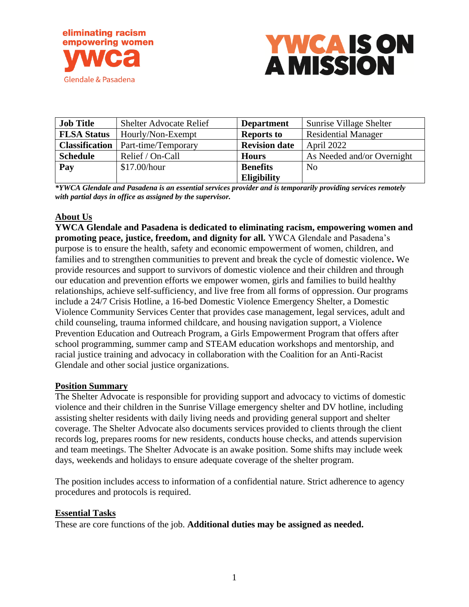



| <b>Job Title</b>      | <b>Shelter Advocate Relief</b> | <b>Department</b>    | Sunrise Village Shelter    |
|-----------------------|--------------------------------|----------------------|----------------------------|
| <b>FLSA Status</b>    | Hourly/Non-Exempt              | <b>Reports to</b>    | <b>Residential Manager</b> |
| <b>Classification</b> | Part-time/Temporary            | <b>Revision date</b> | April 2022                 |
| <b>Schedule</b>       | Relief / On-Call               | <b>Hours</b>         | As Needed and/or Overnight |
| Pay                   | \$17.00/hour                   | <b>Benefits</b>      | N <sub>0</sub>             |
|                       |                                | <b>Eligibility</b>   |                            |

*\*YWCA Glendale and Pasadena is an essential services provider and is temporarily providing services remotely with partial days in office as assigned by the supervisor.*

#### **About Us**

**YWCA Glendale and Pasadena is dedicated to eliminating racism, empowering women and promoting peace, justice, freedom, and dignity for all.** YWCA Glendale and Pasadena's purpose is to ensure the health, safety and economic empowerment of women, children, and families and to strengthen communities to prevent and break the cycle of domestic violence**.** We provide resources and support to survivors of domestic violence and their children and through our education and prevention efforts we empower women, girls and families to build healthy relationships, achieve self-sufficiency, and live free from all forms of oppression. Our programs include a 24/7 Crisis Hotline, a 16-bed Domestic Violence Emergency Shelter, a Domestic Violence Community Services Center that provides case management, legal services, adult and child counseling, trauma informed childcare, and housing navigation support, a Violence Prevention Education and Outreach Program, a Girls Empowerment Program that offers after school programming, summer camp and STEAM education workshops and mentorship, and racial justice training and advocacy in collaboration with the Coalition for an Anti-Racist Glendale and other social justice organizations.

#### **Position Summary**

The Shelter Advocate is responsible for providing support and advocacy to victims of domestic violence and their children in the Sunrise Village emergency shelter and DV hotline, including assisting shelter residents with daily living needs and providing general support and shelter coverage. The Shelter Advocate also documents services provided to clients through the client records log, prepares rooms for new residents, conducts house checks, and attends supervision and team meetings. The Shelter Advocate is an awake position. Some shifts may include week days, weekends and holidays to ensure adequate coverage of the shelter program.

The position includes access to information of a confidential nature. Strict adherence to agency procedures and protocols is required.

#### **Essential Tasks**

These are core functions of the job. **Additional duties may be assigned as needed.**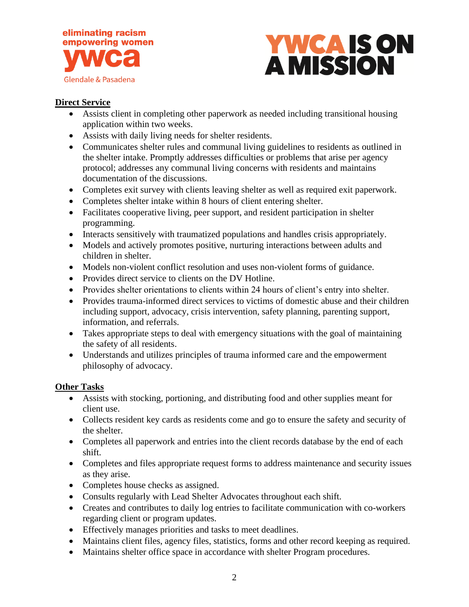



## **Direct Service**

- Assists client in completing other paperwork as needed including transitional housing application within two weeks.
- Assists with daily living needs for shelter residents.
- Communicates shelter rules and communal living guidelines to residents as outlined in the shelter intake. Promptly addresses difficulties or problems that arise per agency protocol; addresses any communal living concerns with residents and maintains documentation of the discussions.
- Completes exit survey with clients leaving shelter as well as required exit paperwork.
- Completes shelter intake within 8 hours of client entering shelter.
- Facilitates cooperative living, peer support, and resident participation in shelter programming.
- Interacts sensitively with traumatized populations and handles crisis appropriately.
- Models and actively promotes positive, nurturing interactions between adults and children in shelter.
- Models non-violent conflict resolution and uses non-violent forms of guidance.
- Provides direct service to clients on the DV Hotline.
- Provides shelter orientations to clients within 24 hours of client's entry into shelter.
- Provides trauma-informed direct services to victims of domestic abuse and their children including support, advocacy, crisis intervention, safety planning, parenting support, information, and referrals.
- Takes appropriate steps to deal with emergency situations with the goal of maintaining the safety of all residents.
- Understands and utilizes principles of trauma informed care and the empowerment philosophy of advocacy.

### **Other Tasks**

- Assists with stocking, portioning, and distributing food and other supplies meant for client use.
- Collects resident key cards as residents come and go to ensure the safety and security of the shelter.
- Completes all paperwork and entries into the client records database by the end of each shift.
- Completes and files appropriate request forms to address maintenance and security issues as they arise.
- Completes house checks as assigned.
- Consults regularly with Lead Shelter Advocates throughout each shift.
- Creates and contributes to daily log entries to facilitate communication with co-workers regarding client or program updates.
- Effectively manages priorities and tasks to meet deadlines.
- Maintains client files, agency files, statistics, forms and other record keeping as required.
- Maintains shelter office space in accordance with shelter Program procedures.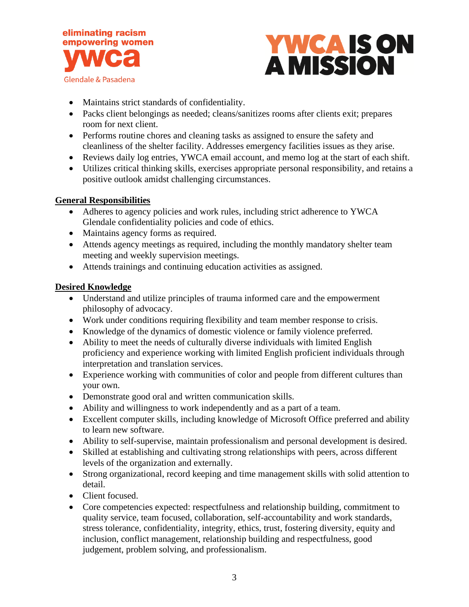



- Maintains strict standards of confidentiality.
- Packs client belongings as needed; cleans/sanitizes rooms after clients exit; prepares room for next client.
- Performs routine chores and cleaning tasks as assigned to ensure the safety and cleanliness of the shelter facility. Addresses emergency facilities issues as they arise.
- Reviews daily log entries, YWCA email account, and memo log at the start of each shift.
- Utilizes critical thinking skills, exercises appropriate personal responsibility, and retains a positive outlook amidst challenging circumstances.

## **General Responsibilities**

- Adheres to agency policies and work rules, including strict adherence to YWCA Glendale confidentiality policies and code of ethics.
- Maintains agency forms as required.
- Attends agency meetings as required, including the monthly mandatory shelter team meeting and weekly supervision meetings.
- Attends trainings and continuing education activities as assigned.

## **Desired Knowledge**

- Understand and utilize principles of trauma informed care and the empowerment philosophy of advocacy.
- Work under conditions requiring flexibility and team member response to crisis.
- Knowledge of the dynamics of domestic violence or family violence preferred.
- Ability to meet the needs of culturally diverse individuals with limited English proficiency and experience working with limited English proficient individuals through interpretation and translation services.
- Experience working with communities of color and people from different cultures than your own.
- Demonstrate good oral and written communication skills.
- Ability and willingness to work independently and as a part of a team.
- Excellent computer skills, including knowledge of Microsoft Office preferred and ability to learn new software.
- Ability to self-supervise, maintain professionalism and personal development is desired.
- Skilled at establishing and cultivating strong relationships with peers, across different levels of the organization and externally.
- Strong organizational, record keeping and time management skills with solid attention to detail.
- Client focused.
- Core competencies expected: respectfulness and relationship building, commitment to quality service, team focused, collaboration, self-accountability and work standards, stress tolerance, confidentiality, integrity, ethics, trust, fostering diversity, equity and inclusion, conflict management, relationship building and respectfulness, good judgement, problem solving, and professionalism.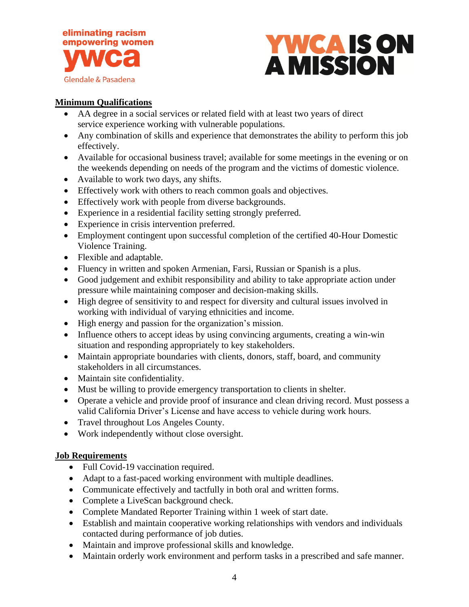



# **Minimum Qualifications**

- AA degree in a social services or related field with at least two years of direct service experience working with vulnerable populations.
- Any combination of skills and experience that demonstrates the ability to perform this job effectively.
- Available for occasional business travel; available for some meetings in the evening or on the weekends depending on needs of the program and the victims of domestic violence.
- Available to work two days, any shifts.
- Effectively work with others to reach common goals and objectives.
- Effectively work with people from diverse backgrounds.
- Experience in a residential facility setting strongly preferred.
- Experience in crisis intervention preferred.
- Employment contingent upon successful completion of the certified 40-Hour Domestic Violence Training.
- Flexible and adaptable.
- Fluency in written and spoken Armenian, Farsi, Russian or Spanish is a plus.
- Good judgement and exhibit responsibility and ability to take appropriate action under pressure while maintaining composer and decision-making skills.
- High degree of sensitivity to and respect for diversity and cultural issues involved in working with individual of varying ethnicities and income.
- High energy and passion for the organization's mission.
- Influence others to accept ideas by using convincing arguments, creating a win-win situation and responding appropriately to key stakeholders.
- Maintain appropriate boundaries with clients, donors, staff, board, and community stakeholders in all circumstances.
- Maintain site confidentiality.
- Must be willing to provide emergency transportation to clients in shelter.
- Operate a vehicle and provide proof of insurance and clean driving record. Must possess a valid California Driver's License and have access to vehicle during work hours.
- Travel throughout Los Angeles County.
- Work independently without close oversight.

### **Job Requirements**

- Full Covid-19 vaccination required.
- Adapt to a fast-paced working environment with multiple deadlines.
- Communicate effectively and tactfully in both oral and written forms.
- Complete a LiveScan background check.
- Complete Mandated Reporter Training within 1 week of start date.
- Establish and maintain cooperative working relationships with vendors and individuals contacted during performance of job duties.
- Maintain and improve professional skills and knowledge.
- Maintain orderly work environment and perform tasks in a prescribed and safe manner.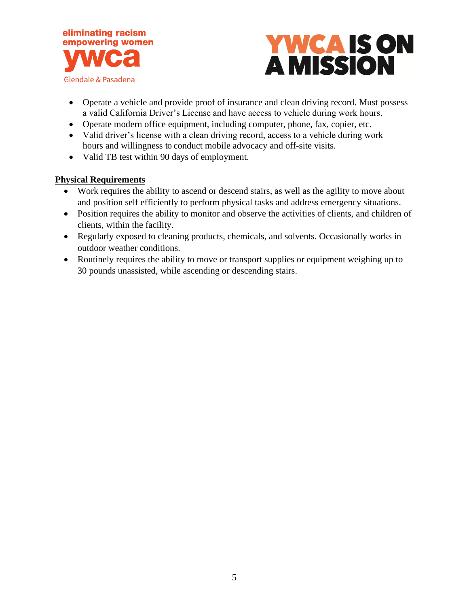



- Operate a vehicle and provide proof of insurance and clean driving record. Must possess a valid California Driver's License and have access to vehicle during work hours.
- Operate modern office equipment, including computer, phone, fax, copier, etc.
- Valid driver's license with a clean driving record, access to a vehicle during work hours and willingness to conduct mobile advocacy and off-site visits.
- Valid TB test within 90 days of employment.

### **Physical Requirements**

- Work requires the ability to ascend or descend stairs, as well as the agility to move about and position self efficiently to perform physical tasks and address emergency situations.
- Position requires the ability to monitor and observe the activities of clients, and children of clients, within the facility.
- Regularly exposed to cleaning products, chemicals, and solvents. Occasionally works in outdoor weather conditions.
- Routinely requires the ability to move or transport supplies or equipment weighing up to 30 pounds unassisted, while ascending or descending stairs.